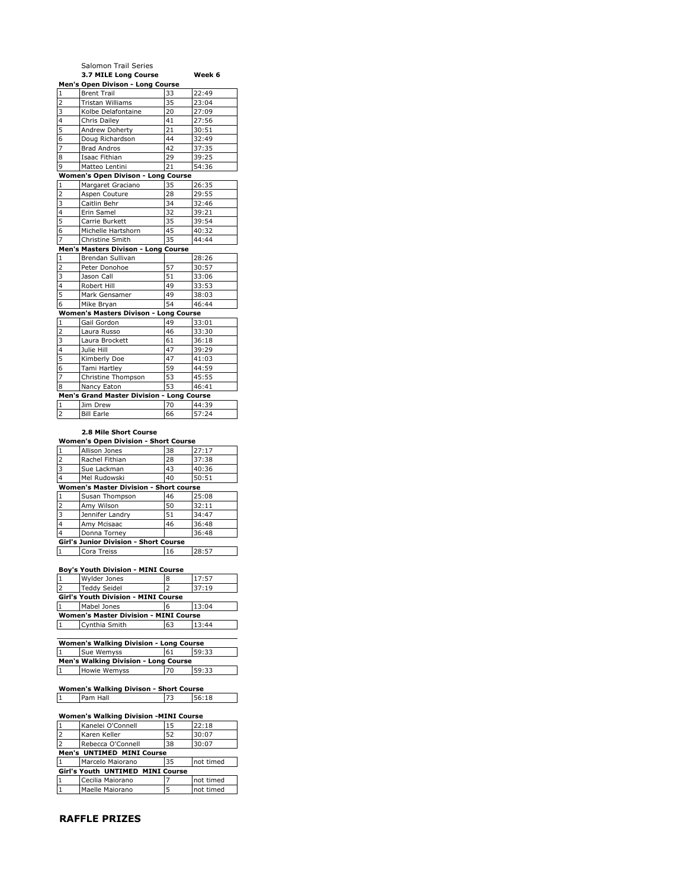|                                           | Salomon Trail Series                  |    |        |
|-------------------------------------------|---------------------------------------|----|--------|
|                                           | 3.7 MILE Long Course                  |    | Week 6 |
|                                           | Men's Open Divison - Long Course      |    |        |
| $\mathbf{1}$                              | <b>Brent Trail</b>                    | 33 | 22:49  |
| $\overline{2}$                            | <b>Tristan Williams</b>               | 35 | 23:04  |
| 3                                         | Kolbe Delafontaine                    | 20 | 27:09  |
| 4                                         | Chris Dailey                          | 41 | 27:56  |
| 5                                         | Andrew Doherty                        | 21 | 30:51  |
| 6                                         | Doug Richardson                       | 44 | 32:49  |
| $\overline{7}$                            | <b>Brad Andros</b>                    | 42 | 37:35  |
| 8                                         | Isaac Fithian                         | 29 | 39:25  |
| 9                                         | Matteo Lentini                        | 21 | 54:36  |
|                                           | Women's Open Divison - Long Course    |    |        |
| $\mathbf{1}$                              | Margaret Graciano                     | 35 | 26:35  |
| $\overline{2}$                            | Aspen Couture                         | 28 | 29:55  |
| 3                                         | Caitlin Behr                          | 34 | 32:46  |
| 4                                         | Erin Samel                            | 32 | 39:21  |
| 5                                         | Carrie Burkett                        | 35 | 39:54  |
| 6                                         | Michelle Hartshorn                    | 45 | 40:32  |
| $\overline{7}$                            | Christine Smith                       | 35 | 44:44  |
|                                           | Men's Masters Divison - Long Course   |    |        |
| $\mathbf{1}$                              | Brendan Sullivan                      |    | 28:26  |
| $\overline{2}$                            | Peter Donohoe                         | 57 | 30:57  |
| 3                                         | Jason Call                            | 51 | 33:06  |
| 4                                         | Robert Hill                           | 49 | 33:53  |
| 5                                         | Mark Gensamer                         | 49 | 38:03  |
| 6                                         | Mike Bryan                            | 54 | 46:44  |
|                                           | Women's Masters Divison - Long Course |    |        |
| $\mathbf{1}$                              | Gail Gordon                           | 49 | 33:01  |
| $\overline{2}$                            | Laura Russo                           | 46 | 33:30  |
| 3                                         | Laura Brockett                        | 61 | 36:18  |
| 4                                         | Julie Hill                            | 47 | 39:29  |
| 5                                         | Kimberly Doe                          | 47 | 41:03  |
| 6                                         | Tami Hartley                          | 59 | 44:59  |
| $\overline{7}$                            | Christine Thompson                    | 53 | 45:55  |
| 8                                         | Nancy Eaton                           | 53 | 46:41  |
| Men's Grand Master Division - Long Course |                                       |    |        |
| $\mathbf{1}$                              | Jim Drew                              | 70 | 44:39  |
| $\overline{2}$                            | <b>Bill Earle</b>                     | 66 | 57:24  |

## **2.8 Mile Short Course**

| <b>Women's Open Division - Short Course</b>   |                 |    |       |
|-----------------------------------------------|-----------------|----|-------|
|                                               | Allison Jones   | 38 | 27:17 |
| $\overline{2}$                                | Rachel Fithian  | 28 | 37:38 |
| $\overline{3}$                                | Sue Lackman     | 43 | 40:36 |
| $\overline{4}$                                | Mel Rudowski    | 40 | 50:51 |
| <b>Women's Master Division - Short course</b> |                 |    |       |
|                                               | Susan Thompson  | 46 | 25:08 |
| <b>2</b>                                      | Amy Wilson      | 50 | 32:11 |
| 3                                             | Jennifer Landry | 51 | 34:47 |
| $\overline{4}$                                | Amy Mcisaac     | 46 | 36:48 |
| $\overline{4}$                                | Donna Torney    |    | 36:48 |
| Girl's Junior Division - Short Course         |                 |    |       |
| 1                                             | Cora Treiss     | 16 | 28:57 |

## **Boy's Youth Division - MINI Course**

| Wylder Jones                                 |    | 17:57 |  |
|----------------------------------------------|----|-------|--|
| <b>Teddy Seidel</b>                          |    | 37:19 |  |
| <b>Girl's Youth Division - MINI Course</b>   |    |       |  |
| Mabel Jones                                  |    | 13:04 |  |
| <b>Women's Master Division - MINI Course</b> |    |       |  |
| Cynthia Smith                                | 63 | 13:44 |  |
|                                              |    |       |  |

| Women's Walking Division - Long Course      |              |    |       |
|---------------------------------------------|--------------|----|-------|
|                                             | Sue Wemvss   | 61 | 59:33 |
| <b>Men's Walking Division - Long Course</b> |              |    |       |
|                                             | Howie Wemyss | 70 | 59:33 |

#### **Women's Walking Divison - Short Course**  $\overline{\phantom{0}}$ Pam Hall 73 56:18

# **Women's Walking Division -MINI Course**

|                                  | Kanelei O'Connell | 15 | 22:18     |
|----------------------------------|-------------------|----|-----------|
| $\overline{2}$                   | Karen Keller      | 52 | 30:07     |
| $\overline{2}$                   | Rebecca O'Connell | 38 | 30:07     |
| Men's UNTIMED MINI Course        |                   |    |           |
| $\mathbf{1}$                     | Marcelo Maiorano  | 35 | not timed |
| Girl's Youth UNTIMED MINI Course |                   |    |           |
| $\overline{1}$                   | Cecilia Maiorano  |    | not timed |
|                                  | Maelle Maiorano   |    | not timed |